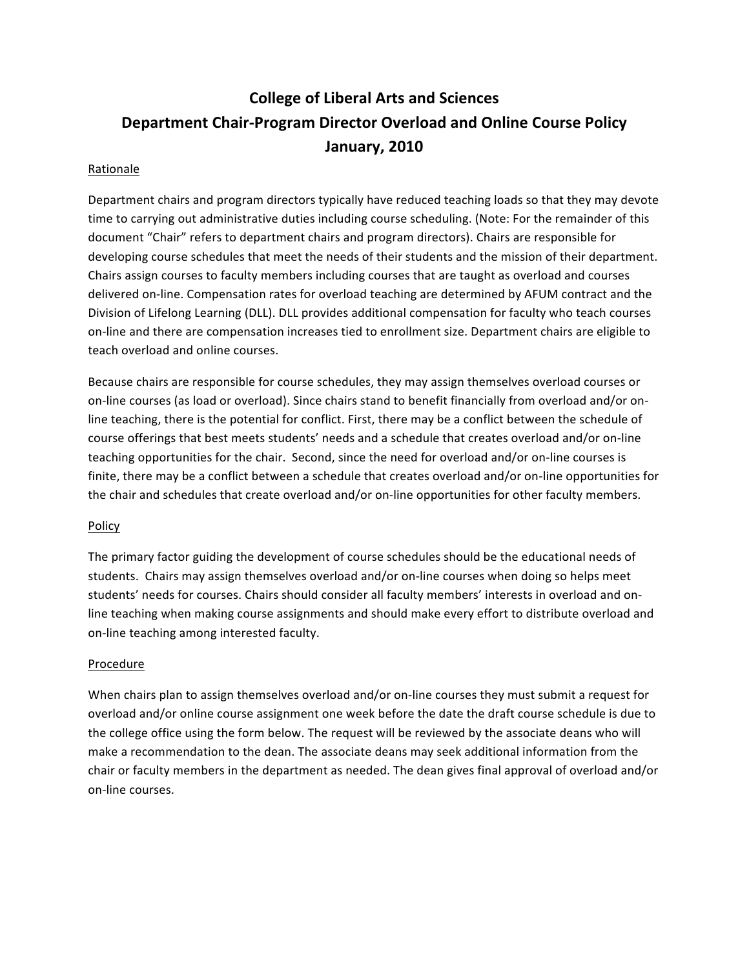# **College of Liberal Arts and Sciences Department Chair-Program Director Overload and Online Course Policy January, 2010**

### Rationale

Department chairs and program directors typically have reduced teaching loads so that they may devote time to carrying out administrative duties including course scheduling. (Note: For the remainder of this document "Chair" refers to department chairs and program directors). Chairs are responsible for developing course schedules that meet the needs of their students and the mission of their department. Chairs assign courses to faculty members including courses that are taught as overload and courses delivered on-line. Compensation rates for overload teaching are determined by AFUM contract and the Division of Lifelong Learning (DLL). DLL provides additional compensation for faculty who teach courses on-line and there are compensation increases tied to enrollment size. Department chairs are eligible to teach overload and online courses.

Because chairs are responsible for course schedules, they may assign themselves overload courses or on-line courses (as load or overload). Since chairs stand to benefit financially from overload and/or online teaching, there is the potential for conflict. First, there may be a conflict between the schedule of course offerings that best meets students' needs and a schedule that creates overload and/or on-line teaching opportunities for the chair. Second, since the need for overload and/or on-line courses is finite, there may be a conflict between a schedule that creates overload and/or on-line opportunities for the chair and schedules that create overload and/or on-line opportunities for other faculty members.

#### Policy

The primary factor guiding the development of course schedules should be the educational needs of students. Chairs may assign themselves overload and/or on-line courses when doing so helps meet students' needs for courses. Chairs should consider all faculty members' interests in overload and online teaching when making course assignments and should make every effort to distribute overload and on-line teaching among interested faculty.

#### Procedure

When chairs plan to assign themselves overload and/or on-line courses they must submit a request for overload and/or online course assignment one week before the date the draft course schedule is due to the college office using the form below. The request will be reviewed by the associate deans who will make a recommendation to the dean. The associate deans may seek additional information from the chair or faculty members in the department as needed. The dean gives final approval of overload and/or on-line courses.